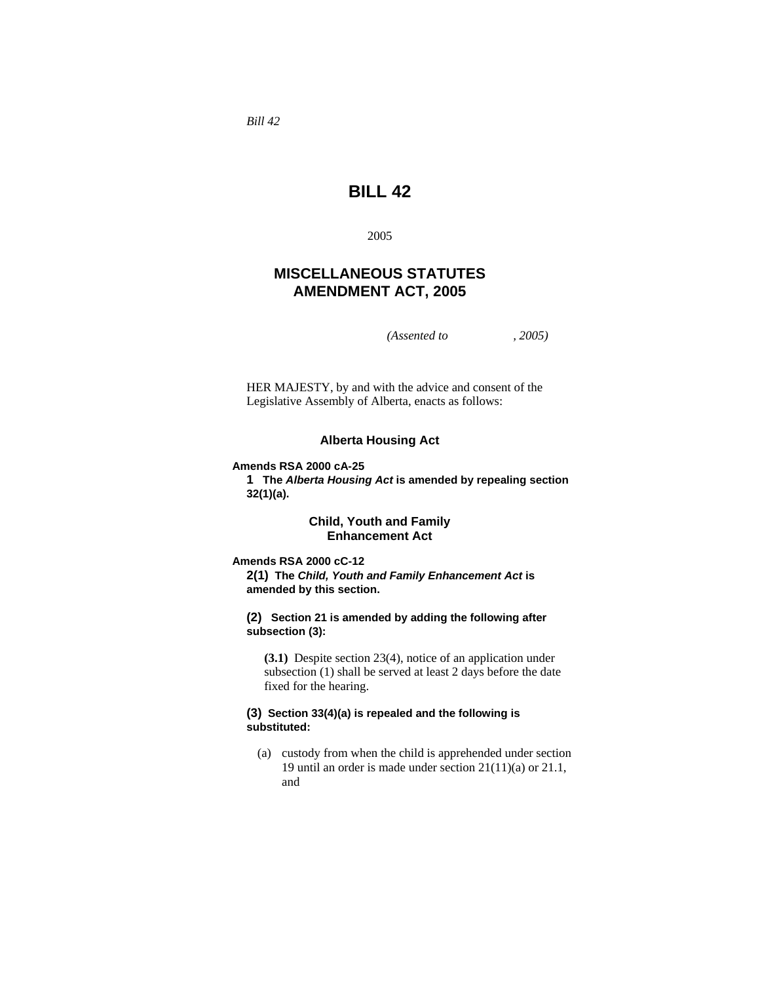*Bill 42* 

# **BILL 42**

2005

# **MISCELLANEOUS STATUTES AMENDMENT ACT, 2005**

*(Assented to , 2005)* 

HER MAJESTY, by and with the advice and consent of the Legislative Assembly of Alberta, enacts as follows:

#### **Alberta Housing Act**

**Amends RSA 2000 cA-25** 

**1 The** *Alberta Housing Act* **is amended by repealing section 32(1)(a).** 

# **Child, Youth and Family Enhancement Act**

**Amends RSA 2000 cC-12** 

**2(1) The** *Child, Youth and Family Enhancement Act* **is amended by this section.** 

**(2) Section 21 is amended by adding the following after subsection (3):** 

**(3.1)** Despite section 23(4), notice of an application under subsection (1) shall be served at least 2 days before the date fixed for the hearing.

#### **(3) Section 33(4)(a) is repealed and the following is substituted:**

 (a) custody from when the child is apprehended under section 19 until an order is made under section 21(11)(a) or 21.1, and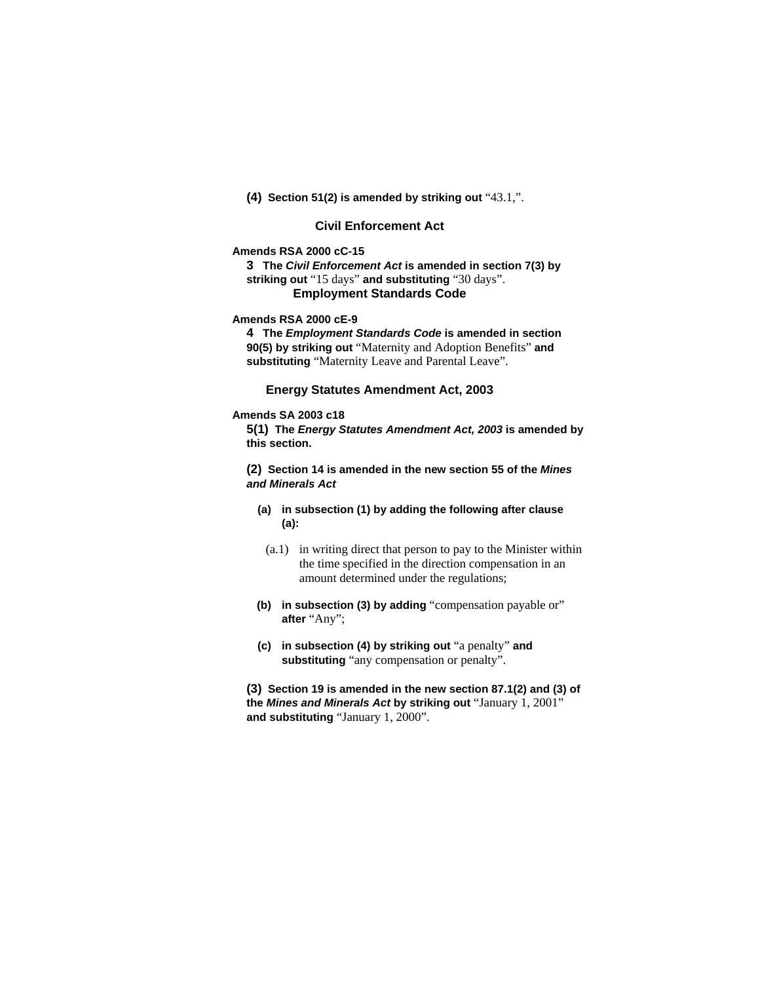**(4) Section 51(2) is amended by striking out** "43.1,".

# **Civil Enforcement Act**

# **Amends RSA 2000 cC-15**

**3 The** *Civil Enforcement Act* **is amended in section 7(3) by striking out** "15 days" **and substituting** "30 days". **Employment Standards Code** 

#### **Amends RSA 2000 cE-9**

**4 The** *Employment Standards Code* **is amended in section 90(5) by striking out** "Maternity and Adoption Benefits" **and substituting** "Maternity Leave and Parental Leave".

# **Energy Statutes Amendment Act, 2003**

#### **Amends SA 2003 c18**

**5(1) The** *Energy Statutes Amendment Act, 2003* **is amended by this section.** 

**(2) Section 14 is amended in the new section 55 of the** *Mines and Minerals Act*

- **(a) in subsection (1) by adding the following after clause (a):** 
	- (a.1) in writing direct that person to pay to the Minister within the time specified in the direction compensation in an amount determined under the regulations;
- **(b) in subsection (3) by adding** "compensation payable or" **after** "Any";
- **(c) in subsection (4) by striking out** "a penalty" **and substituting** "any compensation or penalty".

**(3) Section 19 is amended in the new section 87.1(2) and (3) of the** *Mines and Minerals Act* **by striking out** "January 1, 2001" **and substituting** "January 1, 2000".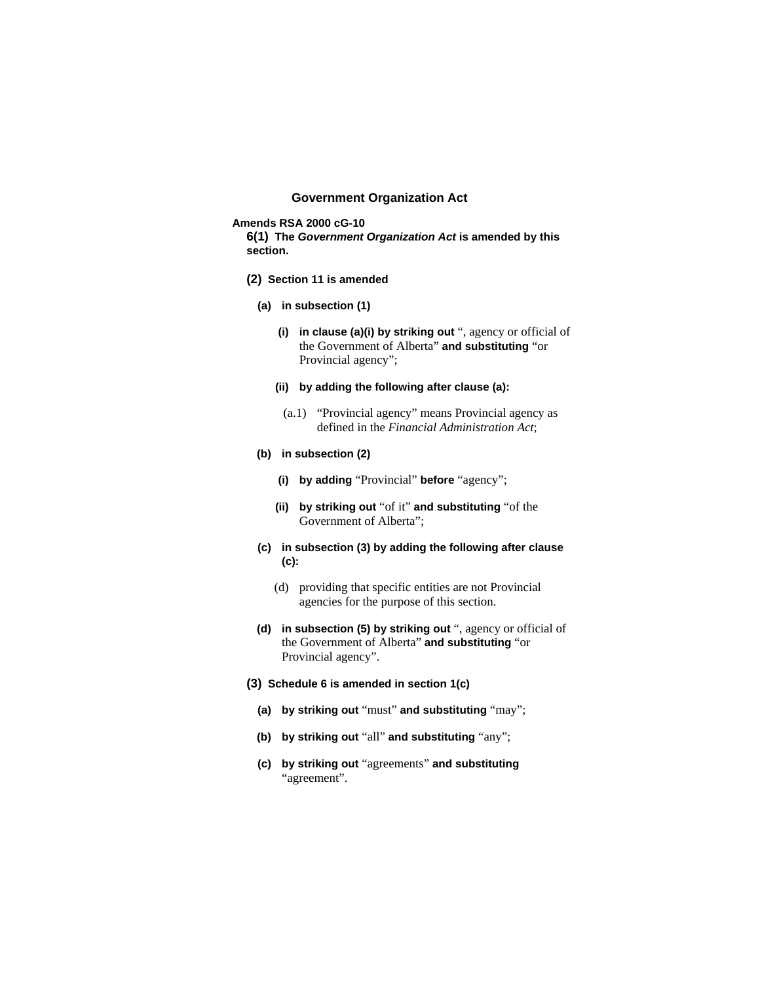# **Government Organization Act**

**Amends RSA 2000 cG-10** 

**6(1) The** *Government Organization Act* **is amended by this section.** 

- **(2) Section 11 is amended**
	- **(a) in subsection (1)** 
		- **(i) in clause (a)(i) by striking out** ", agency or official of the Government of Alberta" **and substituting** "or Provincial agency";
		- **(ii) by adding the following after clause (a):** 
			- (a.1) "Provincial agency" means Provincial agency as defined in the *Financial Administration Act*;
	- **(b) in subsection (2)** 
		- **(i) by adding** "Provincial" **before** "agency";
		- **(ii) by striking out** "of it" **and substituting** "of the Government of Alberta";
	- **(c) in subsection (3) by adding the following after clause (c):** 
		- (d) providing that specific entities are not Provincial agencies for the purpose of this section.
	- **(d) in subsection (5) by striking out** ", agency or official of the Government of Alberta" **and substituting** "or Provincial agency".
- **(3) Schedule 6 is amended in section 1(c)**
	- **(a) by striking out** "must" **and substituting** "may";
	- **(b) by striking out** "all" **and substituting** "any";
	- **(c) by striking out** "agreements" **and substituting**  "agreement".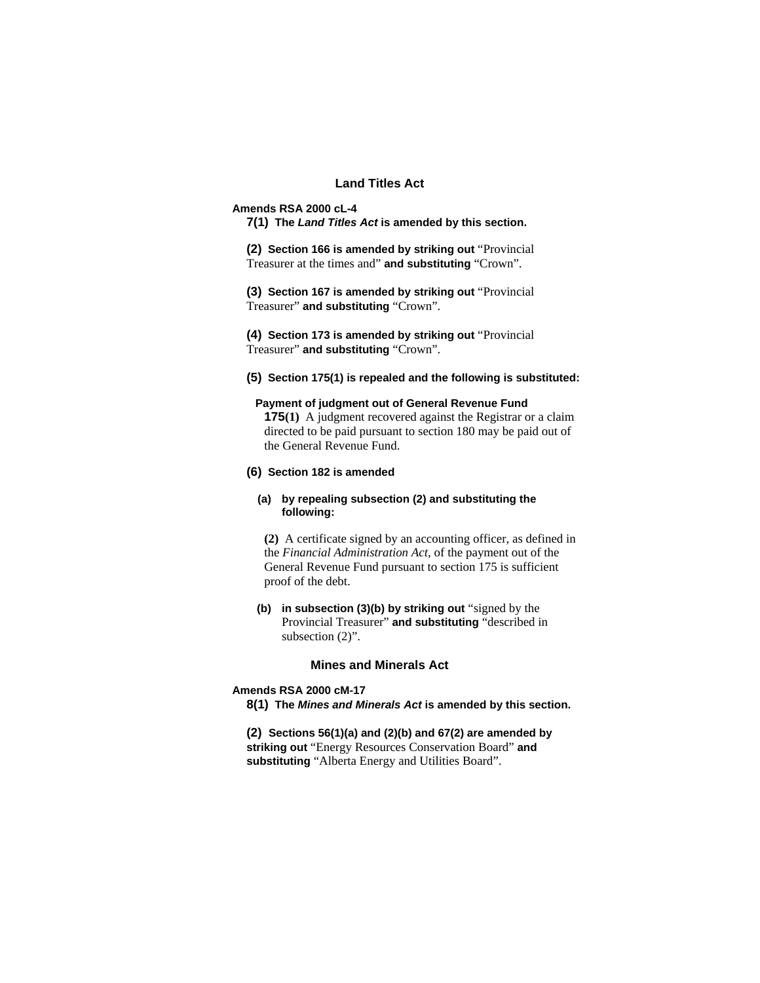# **Land Titles Act**

#### **Amends RSA 2000 cL-4**

**7(1) The** *Land Titles Act* **is amended by this section.** 

**(2) Section 166 is amended by striking out** "Provincial Treasurer at the times and" **and substituting** "Crown".

**(3) Section 167 is amended by striking out** "Provincial Treasurer" **and substituting** "Crown".

**(4) Section 173 is amended by striking out** "Provincial Treasurer" **and substituting** "Crown".

**(5) Section 175(1) is repealed and the following is substituted:**

# **Payment of judgment out of General Revenue Fund**

**175(1)** A judgment recovered against the Registrar or a claim directed to be paid pursuant to section 180 may be paid out of the General Revenue Fund.

## **(6) Section 182 is amended**

# **(a) by repealing subsection (2) and substituting the following:**

**(2)** A certificate signed by an accounting officer, as defined in the *Financial Administration Act*, of the payment out of the General Revenue Fund pursuant to section 175 is sufficient proof of the debt.

**(b) in subsection (3)(b) by striking out** "signed by the Provincial Treasurer" **and substituting** "described in subsection  $(2)$ ".

#### **Mines and Minerals Act**

# **Amends RSA 2000 cM-17**

**8(1) The** *Mines and Minerals Act* **is amended by this section.** 

**(2) Sections 56(1)(a) and (2)(b) and 67(2) are amended by striking out** "Energy Resources Conservation Board" **and substituting** "Alberta Energy and Utilities Board".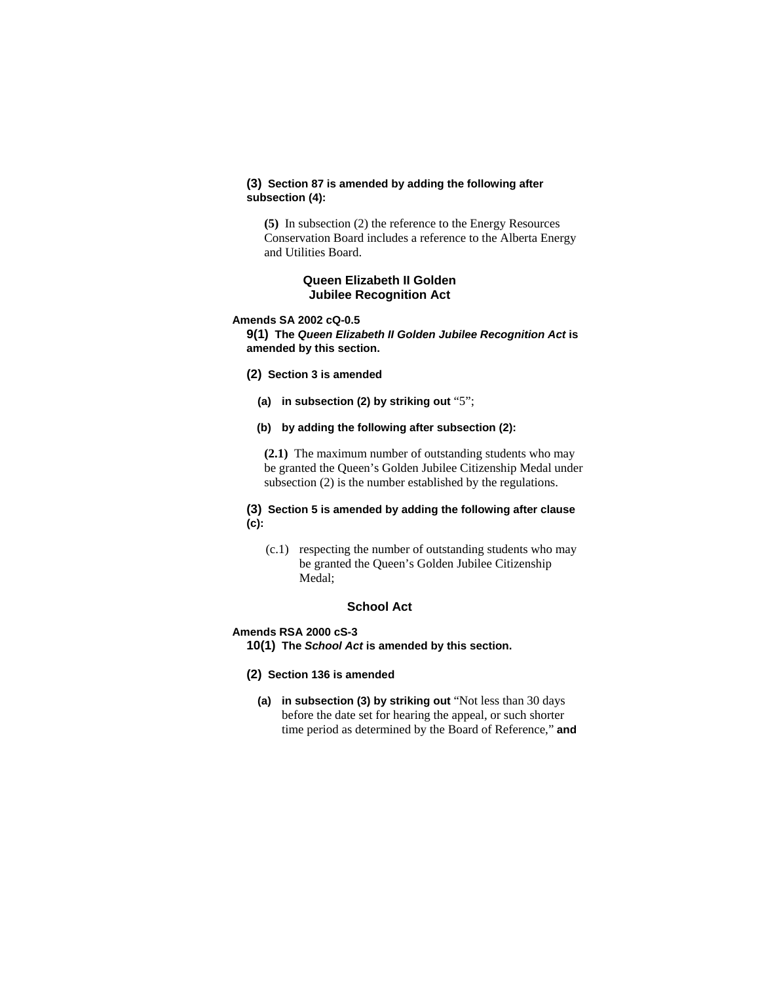## **(3) Section 87 is amended by adding the following after subsection (4):**

**(5)** In subsection (2) the reference to the Energy Resources Conservation Board includes a reference to the Alberta Energy and Utilities Board.

# **Queen Elizabeth II Golden Jubilee Recognition Act**

#### **Amends SA 2002 cQ-0.5**

**9(1) The** *Queen Elizabeth II Golden Jubilee Recognition Act* **is amended by this section.**

- **(2) Section 3 is amended** 
	- **(a) in subsection (2) by striking out** "5";
	- **(b) by adding the following after subsection (2):**

**(2.1)** The maximum number of outstanding students who may be granted the Queen's Golden Jubilee Citizenship Medal under subsection (2) is the number established by the regulations.

## **(3) Section 5 is amended by adding the following after clause (c):**

 (c.1) respecting the number of outstanding students who may be granted the Queen's Golden Jubilee Citizenship Medal;

# **School Act**

#### **Amends RSA 2000 cS-3**

- **10(1) The** *School Act* **is amended by this section.**
- **(2) Section 136 is amended**
	- **(a) in subsection (3) by striking out** "Not less than 30 days before the date set for hearing the appeal, or such shorter time period as determined by the Board of Reference," **and**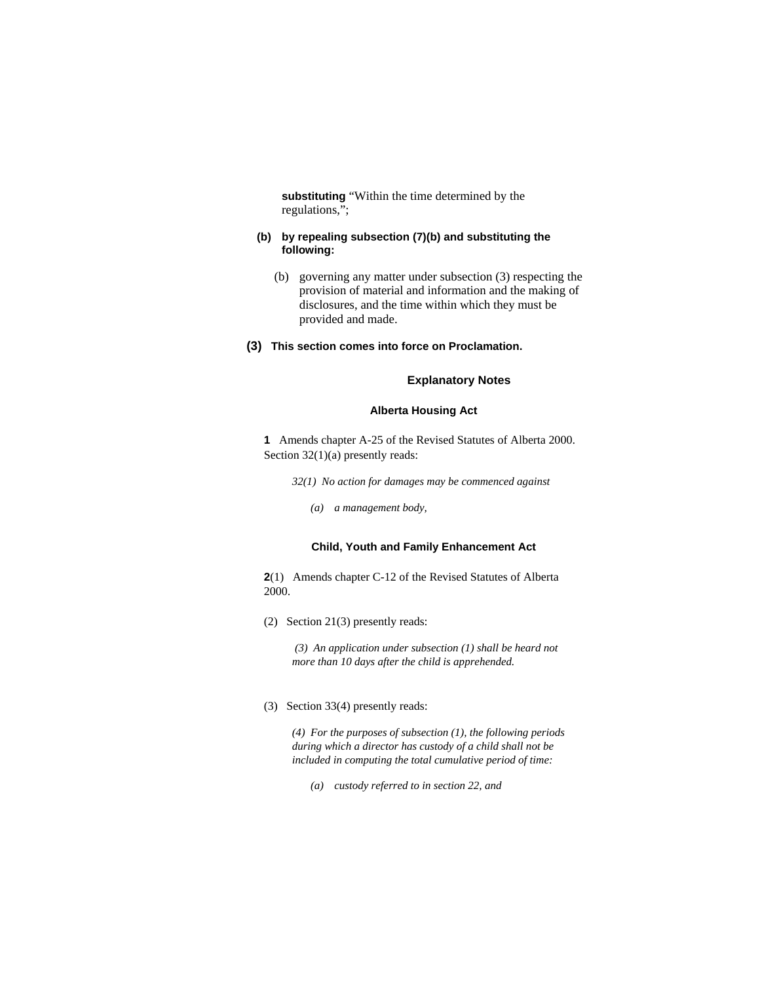**substituting** "Within the time determined by the regulations,";

#### **(b) by repealing subsection (7)(b) and substituting the following:**

- (b) governing any matter under subsection (3) respecting the provision of material and information and the making of disclosures, and the time within which they must be provided and made.
- **(3) This section comes into force on Proclamation.**

#### **Explanatory Notes**

## **Alberta Housing Act**

**1** Amends chapter A-25 of the Revised Statutes of Alberta 2000. Section 32(1)(a) presently reads:

*32(1) No action for damages may be commenced against* 

 *(a) a management body,* 

#### **Child, Youth and Family Enhancement Act**

**2**(1) Amends chapter C-12 of the Revised Statutes of Alberta 2000.

(2) Section 21(3) presently reads:

 *(3) An application under subsection (1) shall be heard not more than 10 days after the child is apprehended.* 

(3) Section 33(4) presently reads:

*(4) For the purposes of subsection (1), the following periods during which a director has custody of a child shall not be included in computing the total cumulative period of time:* 

 *(a) custody referred to in section 22, and*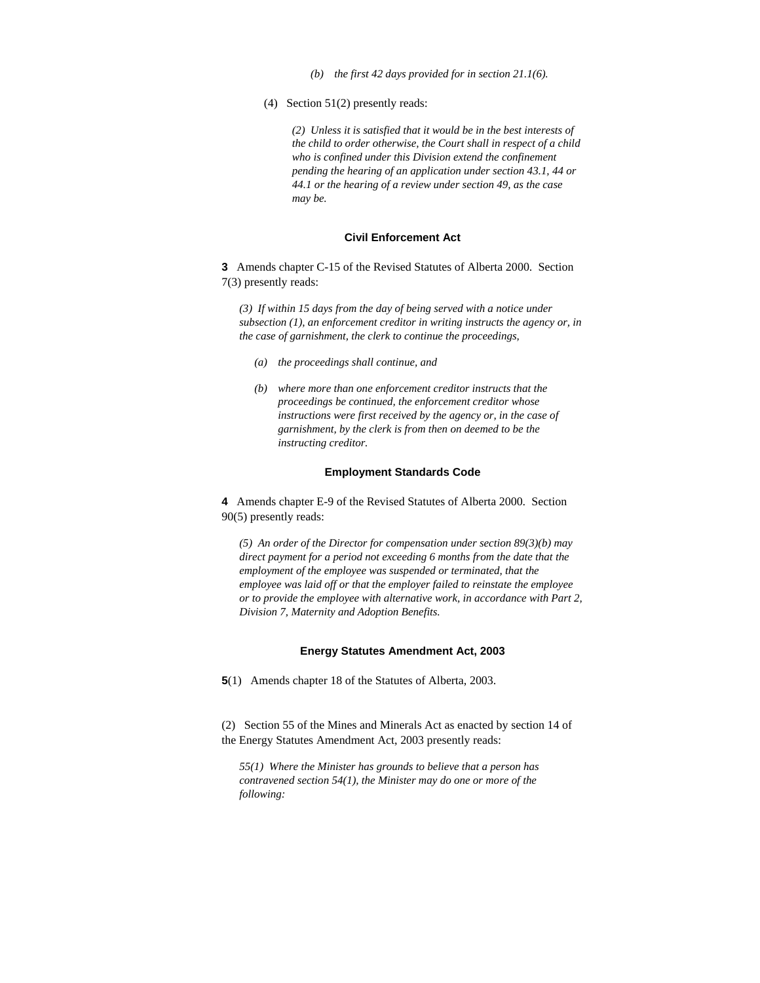- *(b) the first 42 days provided for in section 21.1(6).*
- (4) Section 51(2) presently reads:

*(2) Unless it is satisfied that it would be in the best interests of the child to order otherwise, the Court shall in respect of a child who is confined under this Division extend the confinement pending the hearing of an application under section 43.1, 44 or 44.1 or the hearing of a review under section 49, as the case may be.* 

#### **Civil Enforcement Act**

**3** Amends chapter C-15 of the Revised Statutes of Alberta 2000. Section 7(3) presently reads:

*(3) If within 15 days from the day of being served with a notice under subsection (1), an enforcement creditor in writing instructs the agency or, in the case of garnishment, the clerk to continue the proceedings,* 

- *(a) the proceedings shall continue, and*
- *(b) where more than one enforcement creditor instructs that the proceedings be continued, the enforcement creditor whose instructions were first received by the agency or, in the case of garnishment, by the clerk is from then on deemed to be the instructing creditor.*

#### **Employment Standards Code**

**4** Amends chapter E-9 of the Revised Statutes of Alberta 2000. Section 90(5) presently reads:

*(5) An order of the Director for compensation under section 89(3)(b) may direct payment for a period not exceeding 6 months from the date that the employment of the employee was suspended or terminated, that the employee was laid off or that the employer failed to reinstate the employee or to provide the employee with alternative work, in accordance with Part 2, Division 7, Maternity and Adoption Benefits.* 

#### **Energy Statutes Amendment Act, 2003**

**5**(1) Amends chapter 18 of the Statutes of Alberta, 2003.

(2) Section 55 of the Mines and Minerals Act as enacted by section 14 of the Energy Statutes Amendment Act, 2003 presently reads:

*55(1) Where the Minister has grounds to believe that a person has contravened section 54(1), the Minister may do one or more of the following:*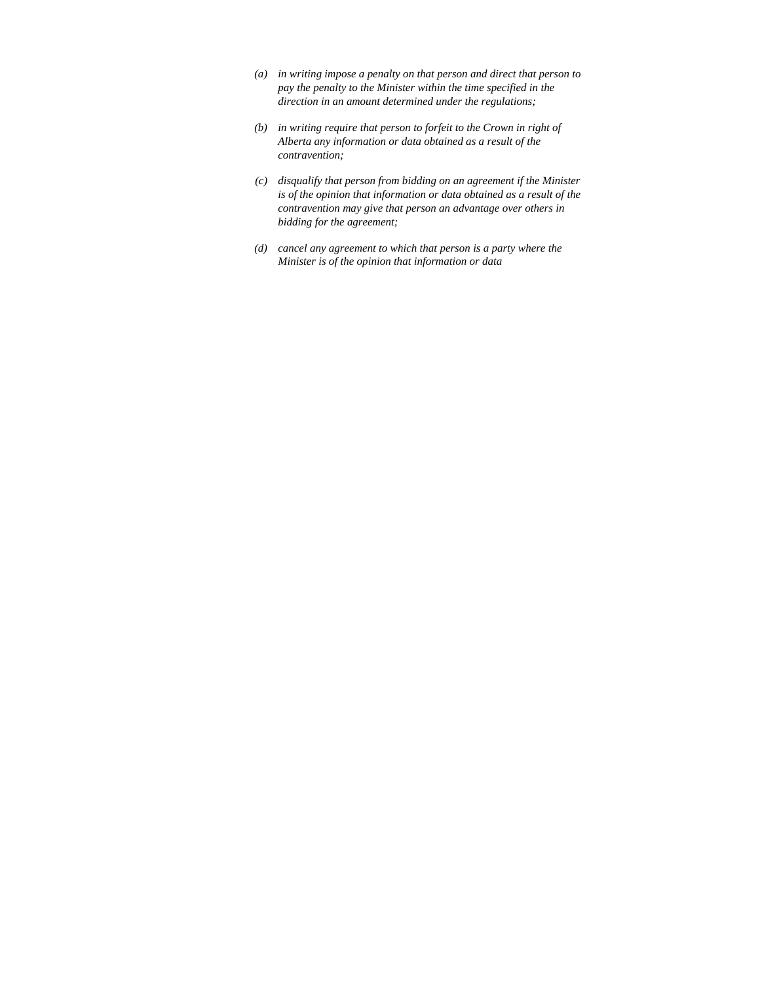- *(a) in writing impose a penalty on that person and direct that person to pay the penalty to the Minister within the time specified in the direction in an amount determined under the regulations;*
- *(b) in writing require that person to forfeit to the Crown in right of Alberta any information or data obtained as a result of the contravention;*
- *(c) disqualify that person from bidding on an agreement if the Minister is of the opinion that information or data obtained as a result of the contravention may give that person an advantage over others in bidding for the agreement;*
- *(d) cancel any agreement to which that person is a party where the Minister is of the opinion that information or data*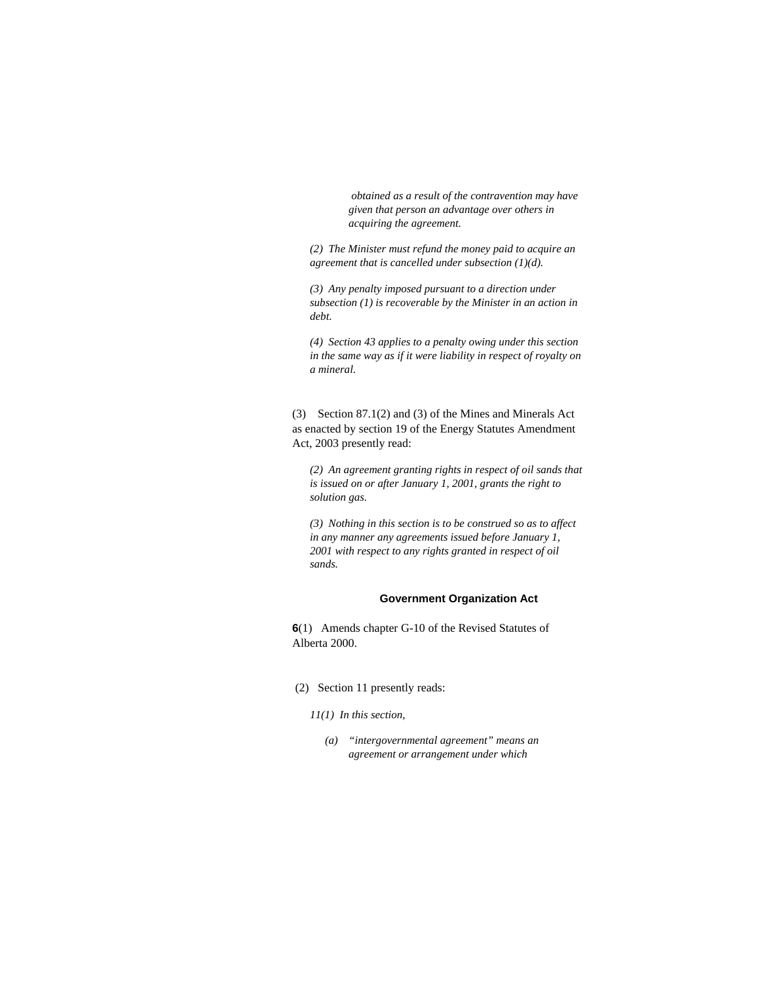*obtained as a result of the contravention may have given that person an advantage over others in acquiring the agreement.* 

*(2) The Minister must refund the money paid to acquire an agreement that is cancelled under subsection (1)(d).* 

*(3) Any penalty imposed pursuant to a direction under subsection (1) is recoverable by the Minister in an action in debt.* 

*(4) Section 43 applies to a penalty owing under this section in the same way as if it were liability in respect of royalty on a mineral.* 

(3) Section 87.1(2) and (3) of the Mines and Minerals Act as enacted by section 19 of the Energy Statutes Amendment Act, 2003 presently read:

*(2) An agreement granting rights in respect of oil sands that is issued on or after January 1, 2001, grants the right to solution gas.* 

*(3) Nothing in this section is to be construed so as to affect in any manner any agreements issued before January 1, 2001 with respect to any rights granted in respect of oil sands.* 

#### **Government Organization Act**

**6**(1) Amends chapter G-10 of the Revised Statutes of Alberta 2000.

- (2) Section 11 presently reads:
	- *11(1) In this section,* 
		- *(a) "intergovernmental agreement" means an agreement or arrangement under which*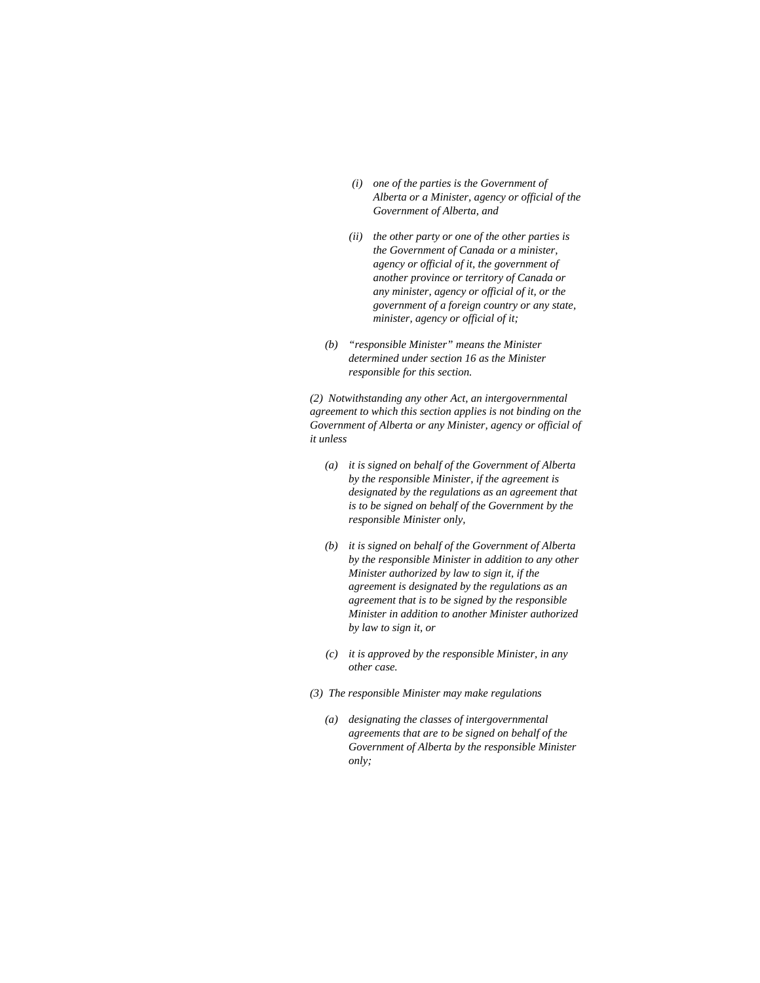- *(i) one of the parties is the Government of Alberta or a Minister, agency or official of the Government of Alberta, and*
- *(ii) the other party or one of the other parties is the Government of Canada or a minister, agency or official of it, the government of another province or territory of Canada or any minister, agency or official of it, or the government of a foreign country or any state, minister, agency or official of it;*
- *(b) "responsible Minister" means the Minister determined under section 16 as the Minister responsible for this section.*

*(2) Notwithstanding any other Act, an intergovernmental agreement to which this section applies is not binding on the Government of Alberta or any Minister, agency or official of it unless* 

- *(a) it is signed on behalf of the Government of Alberta by the responsible Minister, if the agreement is designated by the regulations as an agreement that is to be signed on behalf of the Government by the responsible Minister only,*
- *(b) it is signed on behalf of the Government of Alberta by the responsible Minister in addition to any other Minister authorized by law to sign it, if the agreement is designated by the regulations as an agreement that is to be signed by the responsible Minister in addition to another Minister authorized by law to sign it, or*
- *(c) it is approved by the responsible Minister, in any other case.*
- *(3) The responsible Minister may make regulations* 
	- *(a) designating the classes of intergovernmental agreements that are to be signed on behalf of the Government of Alberta by the responsible Minister only;*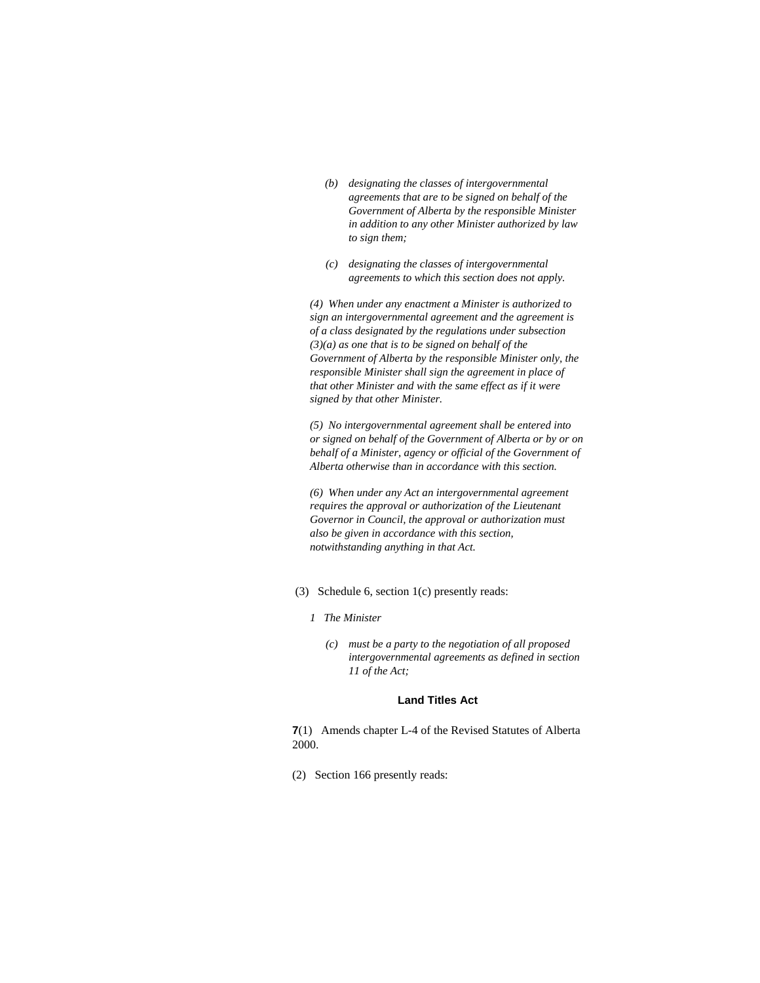- *(b) designating the classes of intergovernmental agreements that are to be signed on behalf of the Government of Alberta by the responsible Minister in addition to any other Minister authorized by law to sign them;*
- *(c) designating the classes of intergovernmental agreements to which this section does not apply.*

*(4) When under any enactment a Minister is authorized to sign an intergovernmental agreement and the agreement is of a class designated by the regulations under subsection (3)(a) as one that is to be signed on behalf of the Government of Alberta by the responsible Minister only, the responsible Minister shall sign the agreement in place of that other Minister and with the same effect as if it were signed by that other Minister.* 

*(5) No intergovernmental agreement shall be entered into or signed on behalf of the Government of Alberta or by or on behalf of a Minister, agency or official of the Government of Alberta otherwise than in accordance with this section.* 

*(6) When under any Act an intergovernmental agreement requires the approval or authorization of the Lieutenant Governor in Council, the approval or authorization must also be given in accordance with this section, notwithstanding anything in that Act.* 

- (3) Schedule 6, section 1(c) presently reads:
	- *1 The Minister* 
		- *(c) must be a party to the negotiation of all proposed intergovernmental agreements as defined in section 11 of the Act;*

#### **Land Titles Act**

**7**(1) Amends chapter L-4 of the Revised Statutes of Alberta 2000.

(2) Section 166 presently reads: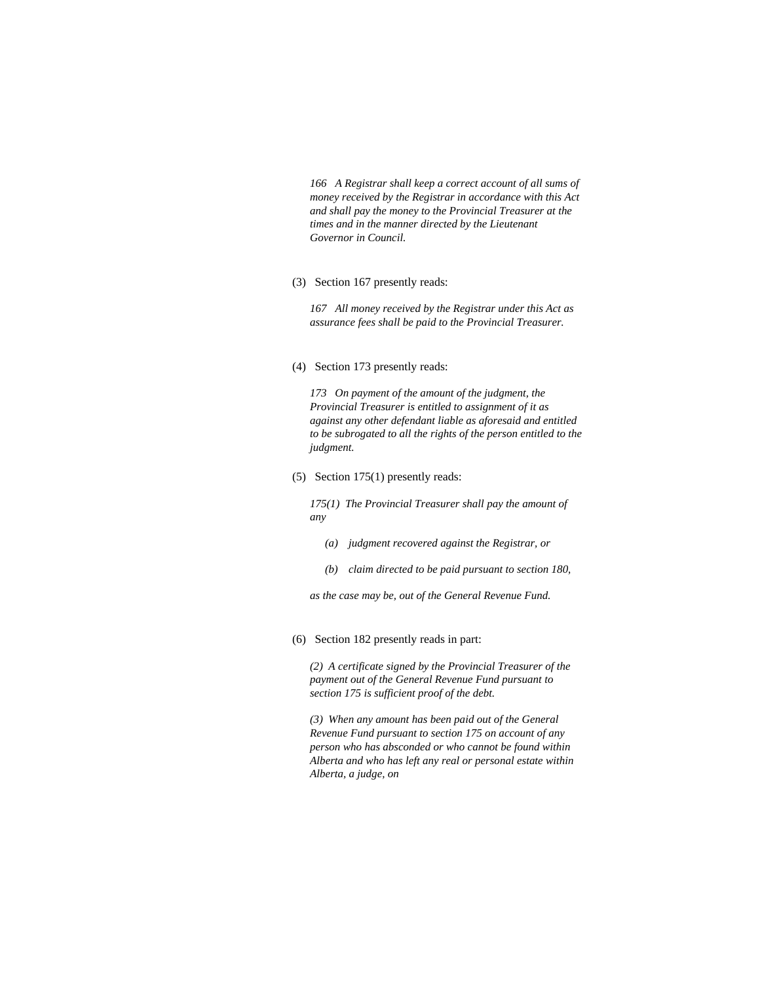*166 A Registrar shall keep a correct account of all sums of money received by the Registrar in accordance with this Act and shall pay the money to the Provincial Treasurer at the times and in the manner directed by the Lieutenant Governor in Council.* 

(3) Section 167 presently reads:

*167 All money received by the Registrar under this Act as assurance fees shall be paid to the Provincial Treasurer.* 

#### (4) Section 173 presently reads:

*173 On payment of the amount of the judgment, the Provincial Treasurer is entitled to assignment of it as against any other defendant liable as aforesaid and entitled to be subrogated to all the rights of the person entitled to the judgment.* 

(5) Section 175(1) presently reads:

*175(1) The Provincial Treasurer shall pay the amount of any* 

- *(a) judgment recovered against the Registrar, or*
- *(b) claim directed to be paid pursuant to section 180,*

*as the case may be, out of the General Revenue Fund.* 

(6) Section 182 presently reads in part:

*(2) A certificate signed by the Provincial Treasurer of the payment out of the General Revenue Fund pursuant to section 175 is sufficient proof of the debt.* 

*(3) When any amount has been paid out of the General Revenue Fund pursuant to section 175 on account of any person who has absconded or who cannot be found within Alberta and who has left any real or personal estate within Alberta, a judge, on*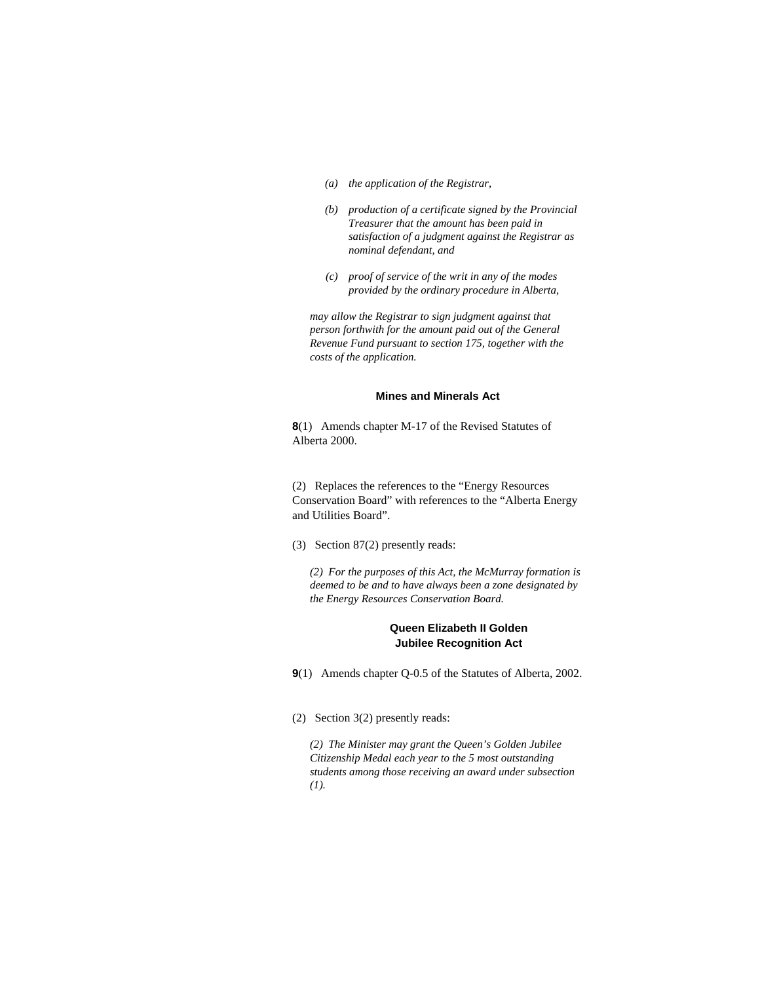- *(a) the application of the Registrar,*
- *(b) production of a certificate signed by the Provincial Treasurer that the amount has been paid in satisfaction of a judgment against the Registrar as nominal defendant, and*
- *(c) proof of service of the writ in any of the modes provided by the ordinary procedure in Alberta,*

*may allow the Registrar to sign judgment against that person forthwith for the amount paid out of the General Revenue Fund pursuant to section 175, together with the costs of the application.* 

#### **Mines and Minerals Act**

**8**(1) Amends chapter M-17 of the Revised Statutes of Alberta 2000.

(2) Replaces the references to the "Energy Resources Conservation Board" with references to the "Alberta Energy and Utilities Board".

(3) Section 87(2) presently reads:

*(2) For the purposes of this Act, the McMurray formation is deemed to be and to have always been a zone designated by the Energy Resources Conservation Board.* 

## **Queen Elizabeth II Golden Jubilee Recognition Act**

**9**(1) Amends chapter Q-0.5 of the Statutes of Alberta, 2002.

(2) Section 3(2) presently reads:

*(2) The Minister may grant the Queen's Golden Jubilee Citizenship Medal each year to the 5 most outstanding students among those receiving an award under subsection (1).*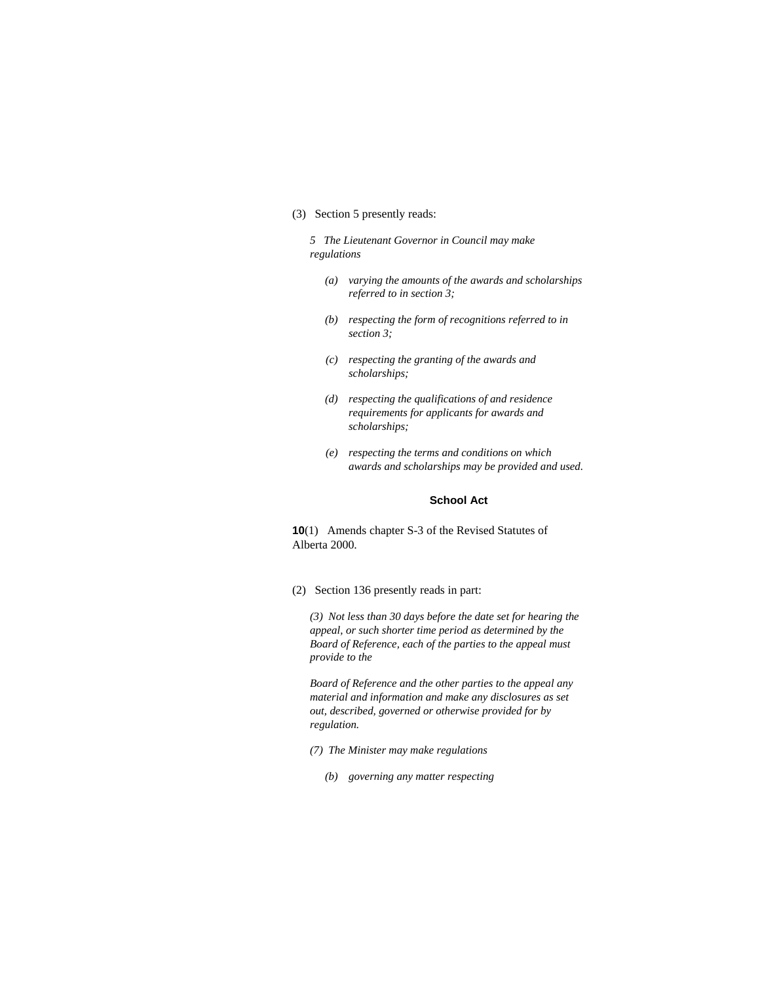# (3) Section 5 presently reads:

*5 The Lieutenant Governor in Council may make regulations* 

- *(a) varying the amounts of the awards and scholarships referred to in section 3;*
- *(b) respecting the form of recognitions referred to in section 3;*
- *(c) respecting the granting of the awards and scholarships;*
- *(d) respecting the qualifications of and residence requirements for applicants for awards and scholarships;*
- *(e) respecting the terms and conditions on which awards and scholarships may be provided and used.*

#### **School Act**

**10**(1) Amends chapter S-3 of the Revised Statutes of Alberta 2000.

(2) Section 136 presently reads in part:

*(3) Not less than 30 days before the date set for hearing the appeal, or such shorter time period as determined by the Board of Reference, each of the parties to the appeal must provide to the* 

*Board of Reference and the other parties to the appeal any material and information and make any disclosures as set out, described, governed or otherwise provided for by regulation.* 

- *(7) The Minister may make regulations* 
	- *(b) governing any matter respecting*